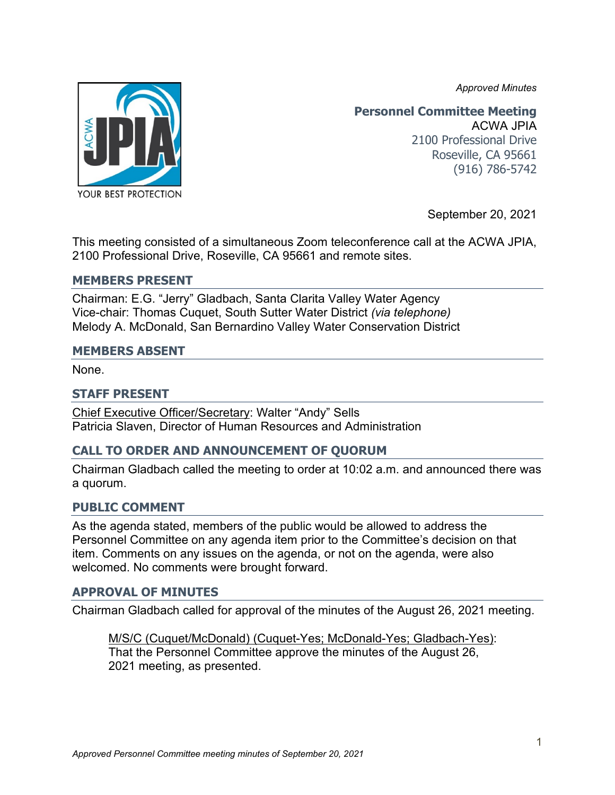*Approved Minutes*



#### **Personnel Committee Meeting** ACWA JPIA 2100 Professional Drive Roseville, CA 95661 (916) 786-5742

September 20, 2021

This meeting consisted of a simultaneous Zoom teleconference call at the ACWA JPIA, 2100 Professional Drive, Roseville, CA 95661 and remote sites.

#### **MEMBERS PRESENT**

Chairman: E.G. "Jerry" Gladbach, Santa Clarita Valley Water Agency Vice-chair: Thomas Cuquet, South Sutter Water District *(via telephone)* Melody A. McDonald, San Bernardino Valley Water Conservation District

#### **MEMBERS ABSENT**

None.

#### **STAFF PRESENT**

Chief Executive Officer/Secretary: Walter "Andy" Sells Patricia Slaven, Director of Human Resources and Administration

# **CALL TO ORDER AND ANNOUNCEMENT OF QUORUM**

Chairman Gladbach called the meeting to order at 10:02 a.m. and announced there was a quorum.

#### **PUBLIC COMMENT**

As the agenda stated, members of the public would be allowed to address the Personnel Committee on any agenda item prior to the Committee's decision on that item. Comments on any issues on the agenda, or not on the agenda, were also welcomed. No comments were brought forward.

#### **APPROVAL OF MINUTES**

Chairman Gladbach called for approval of the minutes of the August 26, 2021 meeting.

M/S/C (Cuquet/McDonald) (Cuquet-Yes; McDonald-Yes; Gladbach-Yes): That the Personnel Committee approve the minutes of the August 26, 2021 meeting, as presented.